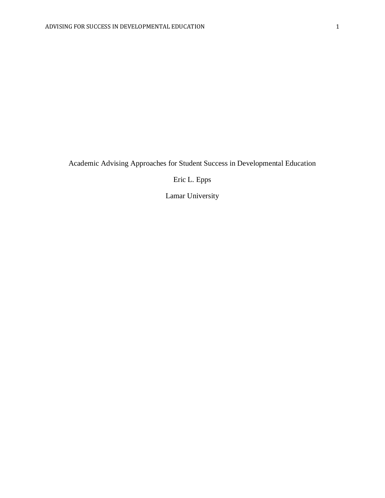Academic Advising Approaches for Student Success in Developmental Education

Eric L. Epps

Lamar University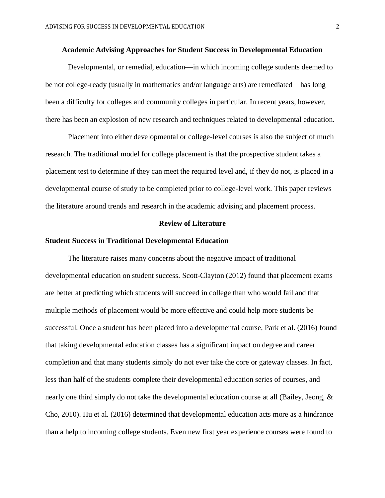### **Academic Advising Approaches for Student Success in Developmental Education**

Developmental, or remedial, education—in which incoming college students deemed to be not college-ready (usually in mathematics and/or language arts) are remediated—has long been a difficulty for colleges and community colleges in particular. In recent years, however, there has been an explosion of new research and techniques related to developmental education.

Placement into either developmental or college-level courses is also the subject of much research. The traditional model for college placement is that the prospective student takes a placement test to determine if they can meet the required level and, if they do not, is placed in a developmental course of study to be completed prior to college-level work. This paper reviews the literature around trends and research in the academic advising and placement process.

#### **Review of Literature**

# **Student Success in Traditional Developmental Education**

The literature raises many concerns about the negative impact of traditional developmental education on student success. Scott-Clayton (2012) found that placement exams are better at predicting which students will succeed in college than who would fail and that multiple methods of placement would be more effective and could help more students be successful. Once a student has been placed into a developmental course, Park et al. (2016) found that taking developmental education classes has a significant impact on degree and career completion and that many students simply do not ever take the core or gateway classes. In fact, less than half of the students complete their developmental education series of courses, and nearly one third simply do not take the developmental education course at all (Bailey, Jeong, & Cho, 2010). Hu et al. (2016) determined that developmental education acts more as a hindrance than a help to incoming college students. Even new first year experience courses were found to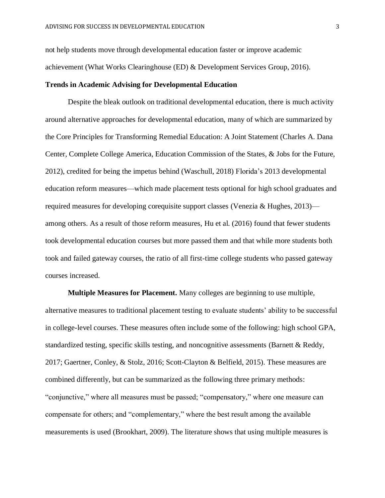not help students move through developmental education faster or improve academic achievement (What Works Clearinghouse (ED) & Development Services Group, 2016).

### **Trends in Academic Advising for Developmental Education**

Despite the bleak outlook on traditional developmental education, there is much activity around alternative approaches for developmental education, many of which are summarized by the Core Principles for Transforming Remedial Education: A Joint Statement (Charles A. Dana Center, Complete College America, Education Commission of the States, & Jobs for the Future, 2012), credited for being the impetus behind (Waschull, 2018) Florida's 2013 developmental education reform measures—which made placement tests optional for high school graduates and required measures for developing corequisite support classes (Venezia & Hughes, 2013) among others. As a result of those reform measures, Hu et al. (2016) found that fewer students took developmental education courses but more passed them and that while more students both took and failed gateway courses, the ratio of all first-time college students who passed gateway courses increased.

**Multiple Measures for Placement.** Many colleges are beginning to use multiple, alternative measures to traditional placement testing to evaluate students' ability to be successful in college-level courses. These measures often include some of the following: high school GPA, standardized testing, specific skills testing, and noncognitive assessments (Barnett & Reddy, 2017; Gaertner, Conley, & Stolz, 2016; Scott-Clayton & Belfield, 2015). These measures are combined differently, but can be summarized as the following three primary methods: "conjunctive," where all measures must be passed; "compensatory," where one measure can compensate for others; and "complementary," where the best result among the available measurements is used (Brookhart, 2009). The literature shows that using multiple measures is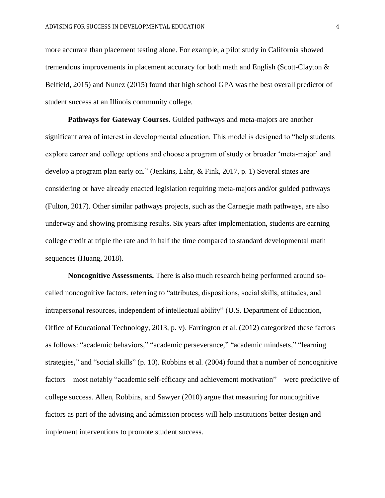more accurate than placement testing alone. For example, a pilot study in California showed tremendous improvements in placement accuracy for both math and English (Scott-Clayton & Belfield, 2015) and Nunez (2015) found that high school GPA was the best overall predictor of student success at an Illinois community college.

**Pathways for Gateway Courses.** Guided pathways and meta-majors are another significant area of interest in developmental education. This model is designed to "help students explore career and college options and choose a program of study or broader 'meta-major' and develop a program plan early on." (Jenkins, Lahr, & Fink, 2017, p. 1) Several states are considering or have already enacted legislation requiring meta-majors and/or guided pathways (Fulton, 2017). Other similar pathways projects, such as the Carnegie math pathways, are also underway and showing promising results. Six years after implementation, students are earning college credit at triple the rate and in half the time compared to standard developmental math sequences (Huang, 2018).

**Noncognitive Assessments.** There is also much research being performed around socalled noncognitive factors, referring to "attributes, dispositions, social skills, attitudes, and intrapersonal resources, independent of intellectual ability" (U.S. Department of Education, Office of Educational Technology, 2013, p. v). Farrington et al. (2012) categorized these factors as follows: "academic behaviors," "academic perseverance," "academic mindsets," "learning strategies," and "social skills" (p. 10). Robbins et al. (2004) found that a number of noncognitive factors—most notably "academic self-efficacy and achievement motivation"—were predictive of college success. Allen, Robbins, and Sawyer (2010) argue that measuring for noncognitive factors as part of the advising and admission process will help institutions better design and implement interventions to promote student success.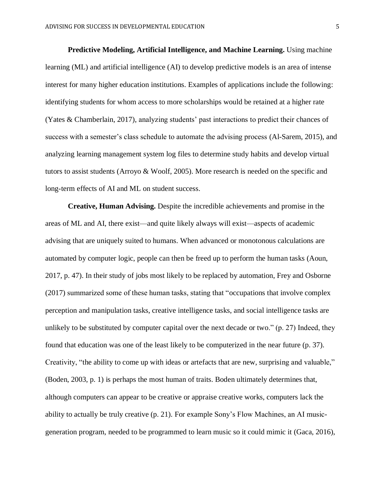**Predictive Modeling, Artificial Intelligence, and Machine Learning.** Using machine learning (ML) and artificial intelligence (AI) to develop predictive models is an area of intense interest for many higher education institutions. Examples of applications include the following: identifying students for whom access to more scholarships would be retained at a higher rate (Yates & Chamberlain, 2017), analyzing students' past interactions to predict their chances of success with a semester's class schedule to automate the advising process (Al-Sarem, 2015), and analyzing learning management system log files to determine study habits and develop virtual tutors to assist students (Arroyo & Woolf, 2005). More research is needed on the specific and long-term effects of AI and ML on student success.

**Creative, Human Advising.** Despite the incredible achievements and promise in the areas of ML and AI, there exist—and quite likely always will exist—aspects of academic advising that are uniquely suited to humans. When advanced or monotonous calculations are automated by computer logic, people can then be freed up to perform the human tasks (Aoun, 2017, p. 47). In their study of jobs most likely to be replaced by automation, Frey and Osborne (2017) summarized some of these human tasks, stating that "occupations that involve complex perception and manipulation tasks, creative intelligence tasks, and social intelligence tasks are unlikely to be substituted by computer capital over the next decade or two." (p. 27) Indeed, they found that education was one of the least likely to be computerized in the near future (p. 37). Creativity, "the ability to come up with ideas or artefacts that are new, surprising and valuable," (Boden, 2003, p. 1) is perhaps the most human of traits. Boden ultimately determines that, although computers can appear to be creative or appraise creative works, computers lack the ability to actually be truly creative (p. 21). For example Sony's Flow Machines, an AI musicgeneration program, needed to be programmed to learn music so it could mimic it (Gaca, 2016),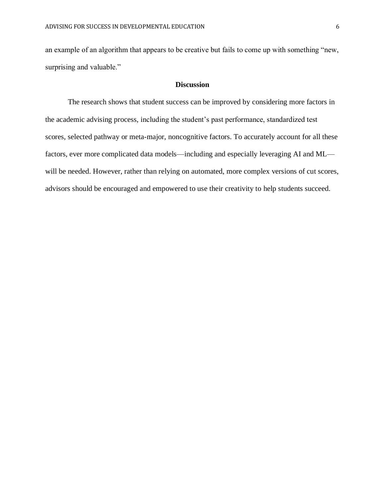an example of an algorithm that appears to be creative but fails to come up with something "new, surprising and valuable."

## **Discussion**

The research shows that student success can be improved by considering more factors in the academic advising process, including the student's past performance, standardized test scores, selected pathway or meta-major, noncognitive factors. To accurately account for all these factors, ever more complicated data models—including and especially leveraging AI and ML will be needed. However, rather than relying on automated, more complex versions of cut scores, advisors should be encouraged and empowered to use their creativity to help students succeed.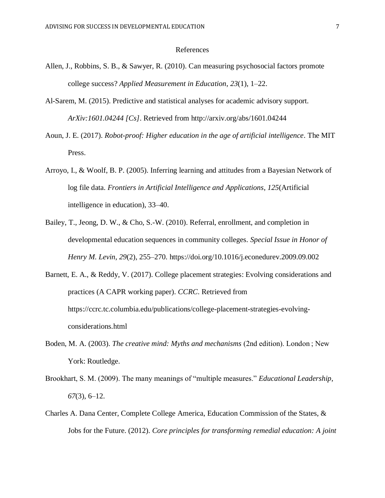#### References

- Allen, J., Robbins, S. B., & Sawyer, R. (2010). Can measuring psychosocial factors promote college success? *Applied Measurement in Education*, *23*(1), 1–22.
- Al-Sarem, M. (2015). Predictive and statistical analyses for academic advisory support. *ArXiv:1601.04244 [Cs]*. Retrieved from http://arxiv.org/abs/1601.04244
- Aoun, J. E. (2017). *Robot-proof: Higher education in the age of artificial intelligence*. The MIT Press.
- Arroyo, I., & Woolf, B. P. (2005). Inferring learning and attitudes from a Bayesian Network of log file data. *Frontiers in Artificial Intelligence and Applications*, *125*(Artificial intelligence in education), 33–40.
- Bailey, T., Jeong, D. W., & Cho, S.-W. (2010). Referral, enrollment, and completion in developmental education sequences in community colleges. *Special Issue in Honor of Henry M. Levin*, *29*(2), 255–270. https://doi.org/10.1016/j.econedurev.2009.09.002
- Barnett, E. A., & Reddy, V. (2017). College placement strategies: Evolving considerations and practices (A CAPR working paper). *CCRC*. Retrieved from https://ccrc.tc.columbia.edu/publications/college-placement-strategies-evolvingconsiderations.html
- Boden, M. A. (2003). *The creative mind: Myths and mechanisms* (2nd edition). London ; New York: Routledge.
- Brookhart, S. M. (2009). The many meanings of "multiple measures." *Educational Leadership*, *67*(3), 6–12.
- Charles A. Dana Center, Complete College America, Education Commission of the States, & Jobs for the Future. (2012). *Core principles for transforming remedial education: A joint*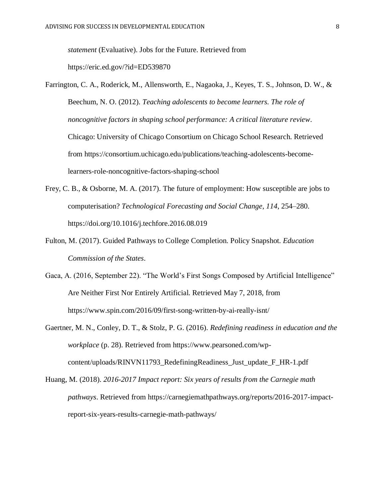*statement* (Evaluative). Jobs for the Future. Retrieved from https://eric.ed.gov/?id=ED539870

- Farrington, C. A., Roderick, M., Allensworth, E., Nagaoka, J., Keyes, T. S., Johnson, D. W., & Beechum, N. O. (2012). *Teaching adolescents to become learners. The role of noncognitive factors in shaping school performance: A critical literature review*. Chicago: University of Chicago Consortium on Chicago School Research. Retrieved from https://consortium.uchicago.edu/publications/teaching-adolescents-becomelearners-role-noncognitive-factors-shaping-school
- Frey, C. B., & Osborne, M. A. (2017). The future of employment: How susceptible are jobs to computerisation? *Technological Forecasting and Social Change*, *114*, 254–280. https://doi.org/10.1016/j.techfore.2016.08.019
- Fulton, M. (2017). Guided Pathways to College Completion. Policy Snapshot. *Education Commission of the States*.
- Gaca, A. (2016, September 22). "The World's First Songs Composed by Artificial Intelligence" Are Neither First Nor Entirely Artificial. Retrieved May 7, 2018, from https://www.spin.com/2016/09/first-song-written-by-ai-really-isnt/
- Gaertner, M. N., Conley, D. T., & Stolz, P. G. (2016). *Redefining readiness in education and the workplace* (p. 28). Retrieved from https://www.pearsoned.com/wpcontent/uploads/RINVN11793\_RedefiningReadiness\_Just\_update\_F\_HR-1.pdf
- Huang, M. (2018). *2016-2017 Impact report: Six years of results from the Carnegie math pathways*. Retrieved from https://carnegiemathpathways.org/reports/2016-2017-impactreport-six-years-results-carnegie-math-pathways/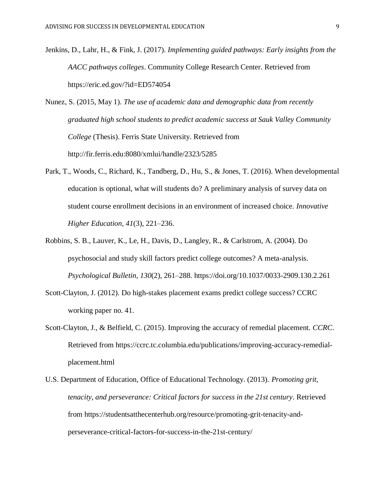- Jenkins, D., Lahr, H., & Fink, J. (2017). *Implementing guided pathways: Early insights from the AACC pathways colleges*. Community College Research Center. Retrieved from https://eric.ed.gov/?id=ED574054
- Nunez, S. (2015, May 1). *The use of academic data and demographic data from recently graduated high school students to predict academic success at Sauk Valley Community College* (Thesis). Ferris State University. Retrieved from http://fir.ferris.edu:8080/xmlui/handle/2323/5285
- Park, T., Woods, C., Richard, K., Tandberg, D., Hu, S., & Jones, T. (2016). When developmental education is optional, what will students do? A preliminary analysis of survey data on student course enrollment decisions in an environment of increased choice. *Innovative Higher Education*, *41*(3), 221–236.
- Robbins, S. B., Lauver, K., Le, H., Davis, D., Langley, R., & Carlstrom, A. (2004). Do psychosocial and study skill factors predict college outcomes? A meta-analysis. *Psychological Bulletin*, *130*(2), 261–288. https://doi.org/10.1037/0033-2909.130.2.261
- Scott-Clayton, J. (2012). Do high-stakes placement exams predict college success? CCRC working paper no. 41.
- Scott-Clayton, J., & Belfield, C. (2015). Improving the accuracy of remedial placement. *CCRC*. Retrieved from https://ccrc.tc.columbia.edu/publications/improving-accuracy-remedialplacement.html
- U.S. Department of Education, Office of Educational Technology. (2013). *Promoting grit, tenacity, and perseverance: Critical factors for success in the 21st century*. Retrieved from https://studentsatthecenterhub.org/resource/promoting-grit-tenacity-andperseverance-critical-factors-for-success-in-the-21st-century/